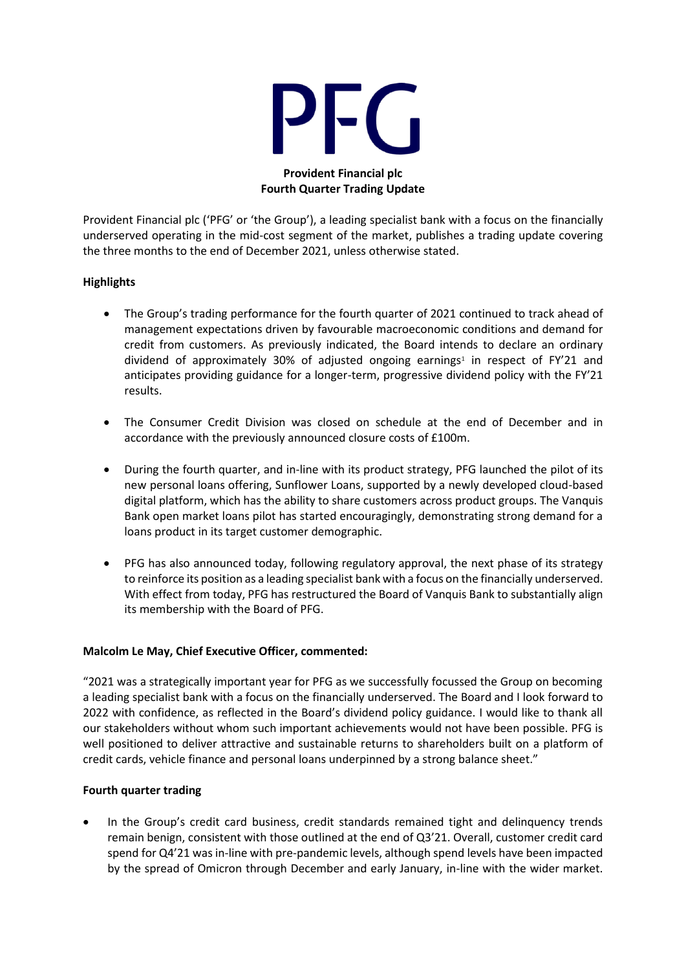

### **Provident Financial plc Fourth Quarter Trading Update**

Provident Financial plc ('PFG' or 'the Group'), a leading specialist bank with a focus on the financially underserved operating in the mid-cost segment of the market, publishes a trading update covering the three months to the end of December 2021, unless otherwise stated.

# **Highlights**

- The Group's trading performance for the fourth quarter of 2021 continued to track ahead of management expectations driven by favourable macroeconomic conditions and demand for credit from customers. As previously indicated, the Board intends to declare an ordinary dividend of approximately 30% of adjusted ongoing earnings<sup>1</sup> in respect of FY'21 and anticipates providing guidance for a longer-term, progressive dividend policy with the FY'21 results.
- The Consumer Credit Division was closed on schedule at the end of December and in accordance with the previously announced closure costs of £100m.
- During the fourth quarter, and in-line with its product strategy, PFG launched the pilot of its new personal loans offering, Sunflower Loans, supported by a newly developed cloud-based digital platform, which has the ability to share customers across product groups. The Vanquis Bank open market loans pilot has started encouragingly, demonstrating strong demand for a loans product in its target customer demographic.
- PFG has also announced today, following regulatory approval, the next phase of its strategy to reinforce its position as a leading specialist bank with a focus on the financially underserved. With effect from today, PFG has restructured the Board of Vanquis Bank to substantially align its membership with the Board of PFG.

# **Malcolm Le May, Chief Executive Officer, commented:**

"2021 was a strategically important year for PFG as we successfully focussed the Group on becoming a leading specialist bank with a focus on the financially underserved. The Board and I look forward to 2022 with confidence, as reflected in the Board's dividend policy guidance. I would like to thank all our stakeholders without whom such important achievements would not have been possible. PFG is well positioned to deliver attractive and sustainable returns to shareholders built on a platform of credit cards, vehicle finance and personal loans underpinned by a strong balance sheet."

### **Fourth quarter trading**

• In the Group's credit card business, credit standards remained tight and delinquency trends remain benign, consistent with those outlined at the end of Q3'21. Overall, customer credit card spend for Q4'21 was in-line with pre-pandemic levels, although spend levels have been impacted by the spread of Omicron through December and early January, in-line with the wider market.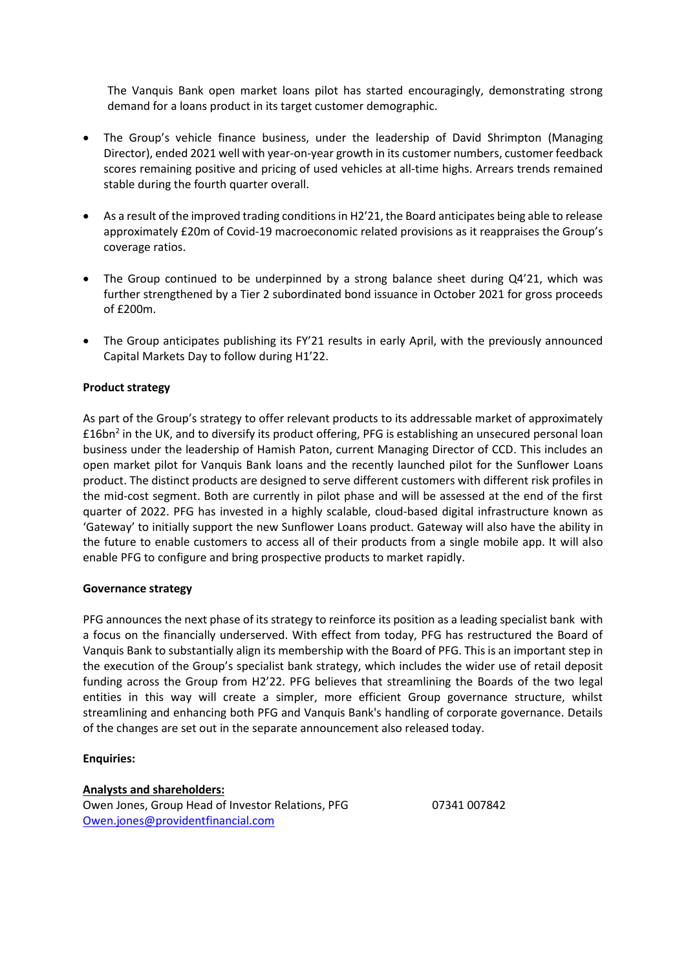The Vanquis Bank open market loans pilot has started encouragingly, demonstrating strong demand for a loans product in its target customer demographic.

- The Group's vehicle finance business, under the leadership of David Shrimpton (Managing Director), ended 2021 well with year-on-year growth in its customer numbers, customer feedback scores remaining positive and pricing of used vehicles at all-time highs. Arrears trends remained stable during the fourth quarter overall.
- As a result of the improved trading conditions in H2'21, the Board anticipates being able to release approximately £20m of Covid-19 macroeconomic related provisions as it reappraises the Group's coverage ratios.
- The Group continued to be underpinned by a strong balance sheet during Q4'21, which was further strengthened by a Tier 2 subordinated bond issuance in October 2021 for gross proceeds of £200m.
- The Group anticipates publishing its FY'21 results in early April, with the previously announced Capital Markets Day to follow during H1'22.

### **Product strategy**

As part of the Group's strategy to offer relevant products to its addressable market of approximately £16bn<sup>2</sup> in the UK, and to diversify its product offering, PFG is establishing an unsecured personal loan business under the leadership of Hamish Paton, current Managing Director of CCD. This includes an open market pilot for Vanquis Bank loans and the recently launched pilot for the Sunflower Loans product. The distinct products are designed to serve different customers with different risk profiles in the mid-cost segment. Both are currently in pilot phase and will be assessed at the end of the first quarter of 2022. PFG has invested in a highly scalable, cloud-based digital infrastructure known as 'Gateway' to initially support the new Sunflower Loans product. Gateway will also have the ability in the future to enable customers to access all of their products from a single mobile app. It will also enable PFG to configure and bring prospective products to market rapidly.

### **Governance strategy**

PFG announces the next phase of its strategy to reinforce its position as a leading specialist bank with a focus on the financially underserved. With effect from today, PFG has restructured the Board of Vanquis Bank to substantially align its membership with the Board of PFG. This is an important step in the execution of the Group's specialist bank strategy, which includes the wider use of retail deposit funding across the Group from H2'22. PFG believes that streamlining the Boards of the two legal entities in this way will create a simpler, more efficient Group governance structure, whilst streamlining and enhancing both PFG and Vanquis Bank's handling of corporate governance. Details of the changes are set out in the separate announcement also released today.

### **Enquiries:**

**Analysts and shareholders:**

Owen Jones, Group Head of Investor Relations, PFG 07341 007842 [Owen.jones@providentfinancial.com](mailto:Owen.jones@providentfinancial.com)